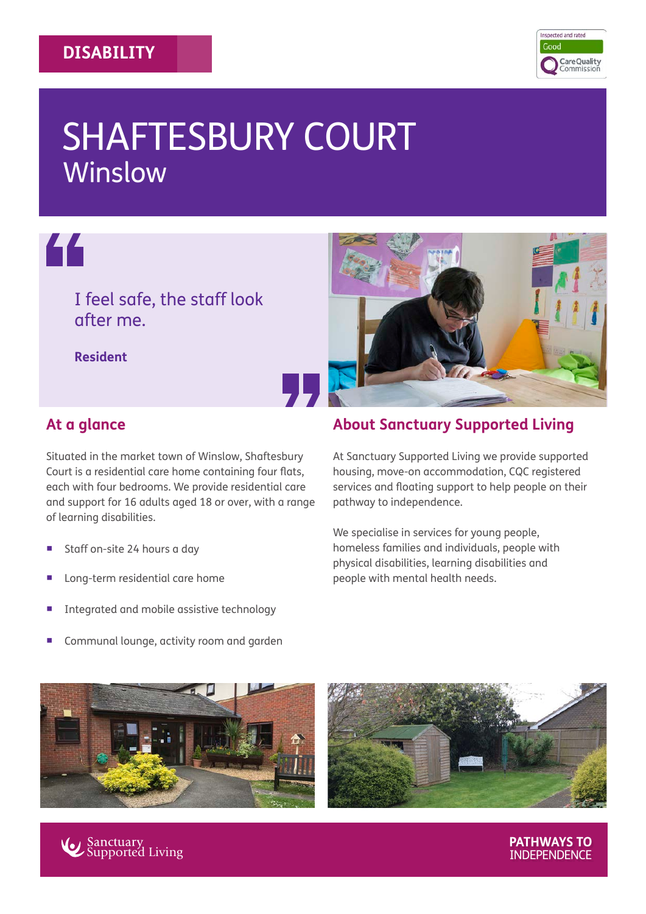#### **DISABILITY**



# SHAFTESBURY COURT Winslow



# I feel safe, the staff look after me.

**Resident**



### **At a glance**

Situated in the market town of Winslow, Shaftesbury Court is a residential care home containing four flats, each with four bedrooms. We provide residential care and support for 16 adults aged 18 or over, with a range of learning disabilities.

- Staff on-site 24 hours a day
- � Long-term residential care home
- � Integrated and mobile assistive technology
- Communal lounge, activity room and garden







**PATHWAYS TO**  INDEPENDENCE

## **About Sanctuary Supported Living**

At Sanctuary Supported Living we provide supported housing, move-on accommodation, CQC registered services and floating support to help people on their pathway to independence.

We specialise in services for young people, homeless families and individuals, people with physical disabilities, learning disabilities and people with mental health needs.